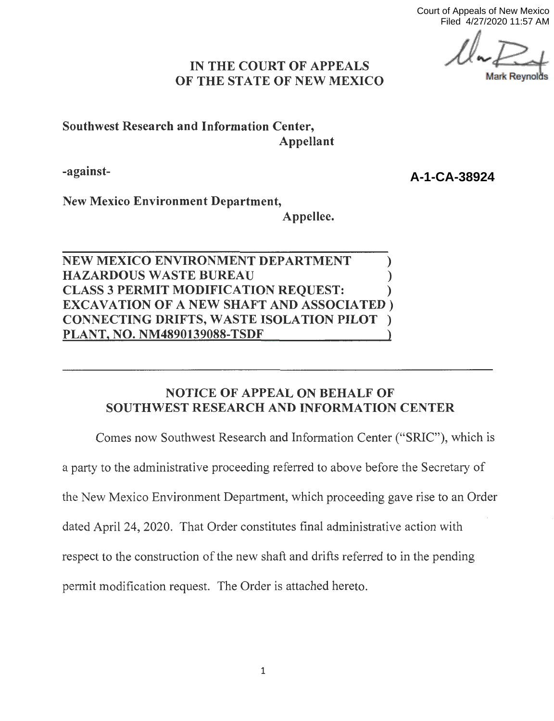Court of Appeals of New Mexico Filed 4/27/2020 11:57 AM

*l*lark Revnol

## **IN THE COURT OF APPEALS OF THE STATE OF NEW MEXICO**

**Southwest Research and Information Center, Appellant** 

**-against-**

**A-1-CA-38924**

**New Mexico Environment Department,** 

**Appellee.** 

**NEW MEXICO ENVIRONMENT DEPARTMENT** ) **HAZARDOUS WASTE BUREAU** ) **CLASS 3 PERMIT MODIFICATION REQUEST:** ) **EXCAVATION OF A NEW SHAFT AND ASSOCIATED** ) **CONNECTING DRIFTS, WASTE ISOLATION PILOT** ) **PLANT, NO. NM4890139088-TSDF** }

# **NOTICE OF APPEAL ON BEHALF OF SOUTHWEST RESEARCH AND INFORMATION CENTER**

Comes now Southwest Research and Information Center ("SRIC"), which is

a party to the administrative proceeding referred to above before the Secretary of

the New Mexico Environment Department, which proceeding gave rise to an Order

dated April 24, 2020. That Order constitutes final administrative action with

respect to the construction of the new shaft and drifts referred to in the pending

permit modification request. The Order is attached hereto.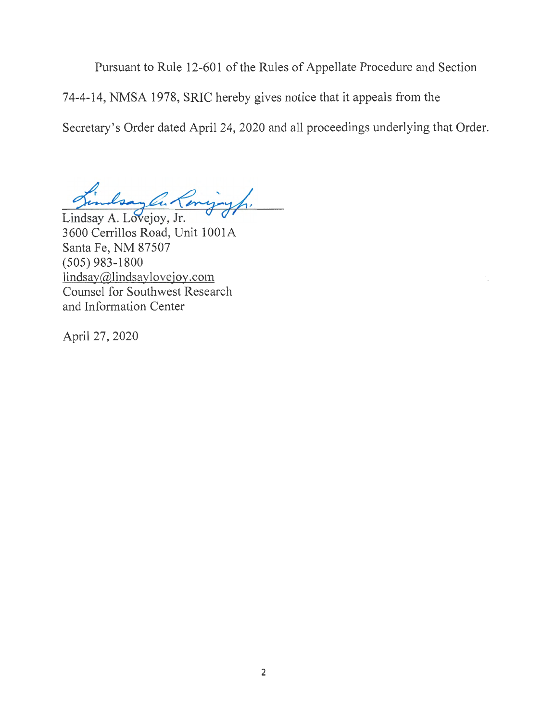Pursuant to Rule 12-601 of the Rules of Appellate Procedure and Section

74-4-14, NMSA 1978, SRIC hereby gives notice that it appeals from the

Secretary's Order dated April 24, 2020 and all proceedings underlying that Order.

Findsay C. Lowigiyh.<br>Lindsay A. Lovejoy, Jr.

3600 Cerrillos Road, Unit 1001A Santa Fe, NM 87507 (505) 983-1800 lindsay@lindsaylovejoy.com Counsel for Southwest Research and Information Center

April 27, 2020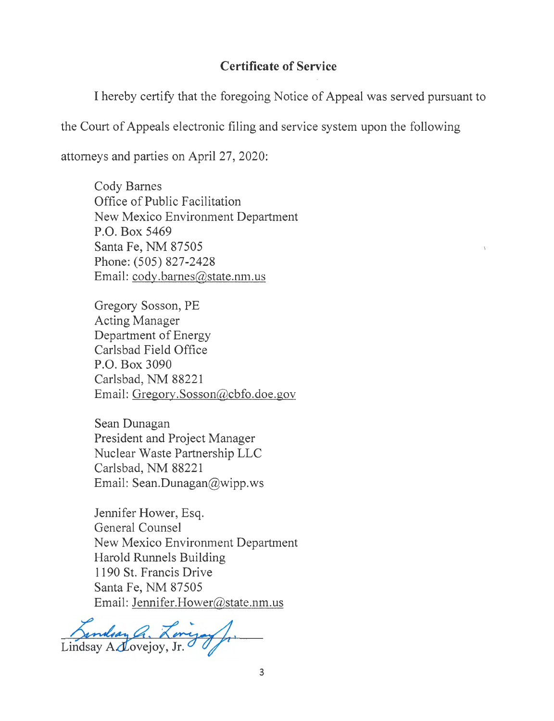### **Certificate of Service**

I hereby certify that the foregoing Notice of Appeal was served pursuant to

)

the Court of Appeals electronic filing and service system upon the following

attorneys and parties on April 27, 2020:

Cody Barnes Office of Public Facilitation New Mexico Environment Department P.O. Box 5469 Santa Fe, NM 87505 Phone: (505) 827-2428 Email: cody.barnes@state.nm.us

Gregory Sosson, PE Acting Manager Department of Energy Carlsbad Field Office P.O. Box 3090 Carlsbad, NM 88221 Email: Gregory.Sosson@cbfo.doe.gov

Sean Dunagan President and Project Manager Nuclear Waste Partnership LLC Carlsbad, NM 88221 Email: Sean.Dunagan@wipp.ws

Jennifer Hower, Esq. General Counsel New Mexico Environment Department Harold Runnels Building 1190 St. Francis Drive Santa Fe, NM 87505 Email: Jennifer.Hower@state.nm.us

Bandsay a. Longay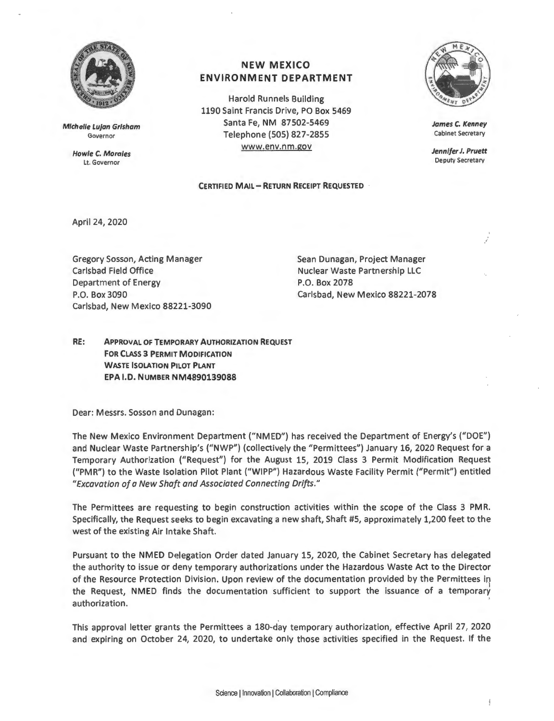

Michelle Lujan Grisham Governor

> **Howle C. Morales**  Lt. Governor

#### **NEW MEXICO ENVIRONMENT DEPARTMENT**

Harold Runnels Building 1190 Saint Francis Drive, PO Box 5469 Santa Fe, NM 87502-5469 Telephone (SOS) 827-2855 www.env.nm.gov

**James C. Kenney**  Cabinet Secretary

**Jennifer J. Pruett**  Deputy Secretary

#### **CERTIFIED MAIL- RETURN RECEIPT REQUESTED**

April 24, 2020

Gregory Sosson, Acting Manager Carlsbad Field Office Department of Energy P.O. Box 3090 Carlsbad, New Mexico 88221-2078 Carlsbad, New Mexico 88221-3090

Sean Dunagan, Project Manager Nuclear Waste Partnership LLC P.O. Box 2078

**RE: APPROVAL OF TEMPORARY AUTHORIZATION REQUEST FOR CLASS 3 PERMIT MODIFICATION WASTE ISOLATION PILOT PLANT EPA I.D. NUMBER NM489O139O88** 

Dear: Messrs. Sosson and Dunagan:

The New Mexico Environment Department ("NMED") has received the Department of Energy's ("DOE") and Nuclear Waste Partnership's ("NWP") (collectively the "Permittees") January 16, 2020 Request for a Temporary Authorization ("Request") for the August 15, 2019 Class 3 Permit Modification Request ("PMR") to the Waste Isolation Pilot Plant ("WIPP") Hazardous Waste Facility Permit ("Permit") entitled *"Excavation of a New Shaft and Associated Connecting Drifts."* 

The Permittees are requesting to begin construction activities within the scope of the Class 3 PMR. Specifically, the Request seeks to begin excavating a new shaft, Shaft #5, approximately 1,200 feet to the west of the existing Air Intake Shaft.

Pursuant to the NMED Delegation Order dated January 15, 2020, the Cabinet Secretary has delegated the authority to issue or deny temporary authorizations under the Hazardous Waste Act to the Director of the Resource Protection Division. Upon review of the documentation provided by the Permittees in the Request, NMED finds the documentation sufficient to support the issuance of a temporary authorization.

This approval letter grants the Permittees a 180-day temporary authorization, effective April 27, 2020 and expiring on October 24, 2020, to undertake only those activities specified in the Request. If the